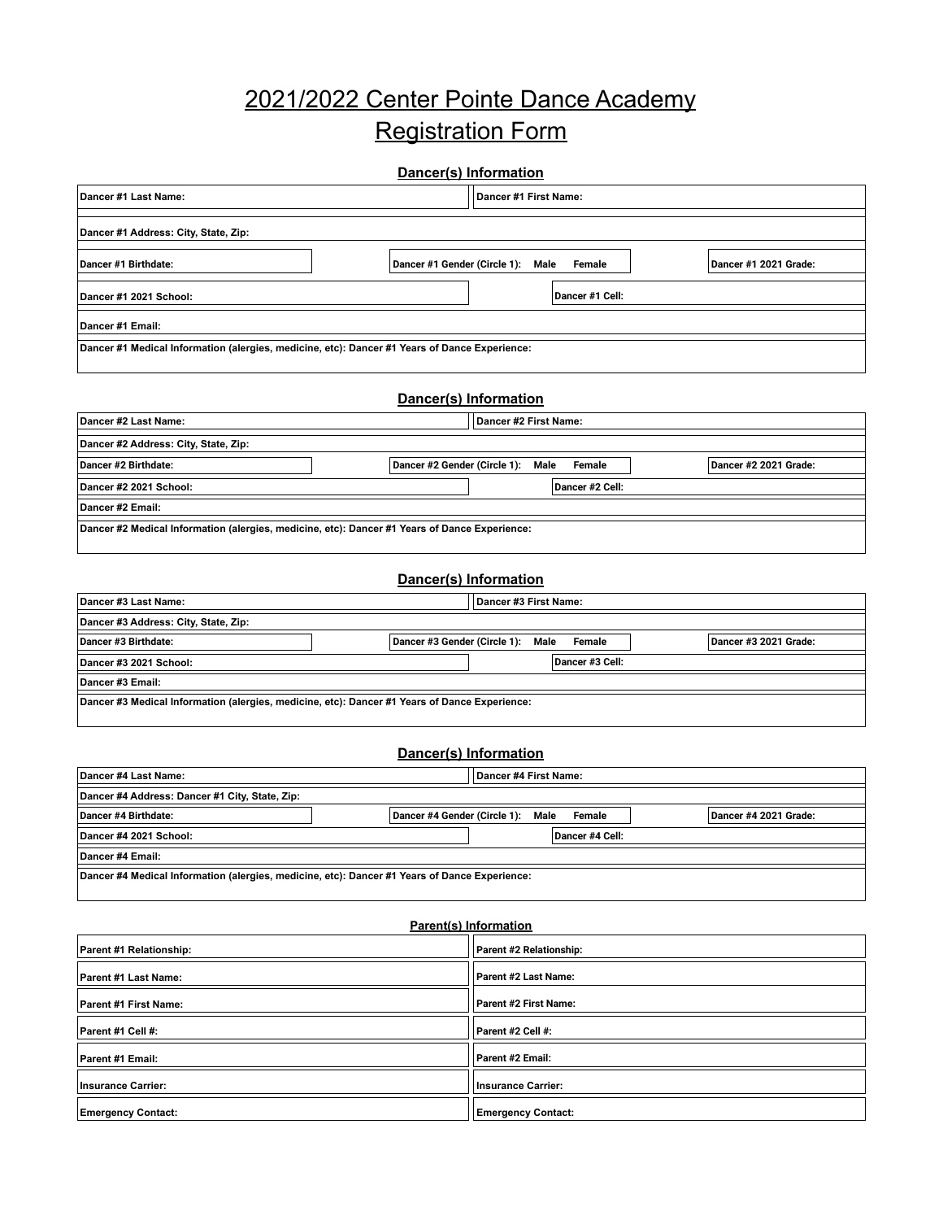## 2021/2022 Center Pointe Dance Academy Registration Form

| Dancer #1 Last Name:                                                                          |                              | Dancer #1 First Name:                                  |                 |                       |  |  |
|-----------------------------------------------------------------------------------------------|------------------------------|--------------------------------------------------------|-----------------|-----------------------|--|--|
| Dancer #1 Address: City, State, Zip:                                                          |                              |                                                        |                 |                       |  |  |
| Dancer #1 Birthdate:                                                                          |                              | Dancer #1 Gender (Circle 1): Male                      | Female          | Dancer #1 2021 Grade: |  |  |
| Dancer #1 2021 School:                                                                        |                              |                                                        | Dancer #1 Cell: |                       |  |  |
| Dancer #1 Email:                                                                              |                              |                                                        |                 |                       |  |  |
| Dancer #1 Medical Information (alergies, medicine, etc): Dancer #1 Years of Dance Experience: |                              |                                                        |                 |                       |  |  |
| Dancer(s) Information                                                                         |                              |                                                        |                 |                       |  |  |
| Dancer #2 Last Name:                                                                          |                              | Dancer #2 First Name:                                  |                 |                       |  |  |
| Dancer #2 Address: City, State, Zip:                                                          |                              |                                                        |                 |                       |  |  |
| Dancer #2 Birthdate:                                                                          |                              | Dancer #2 Gender (Circle 1): Male                      | <b>Female</b>   | Dancer #2 2021 Grade: |  |  |
| Dancer #2 2021 School:                                                                        |                              |                                                        | Dancer #2 Cell: |                       |  |  |
| Dancer #2 Email:                                                                              |                              |                                                        |                 |                       |  |  |
| Dancer #2 Medical Information (alergies, medicine, etc): Dancer #1 Years of Dance Experience: |                              |                                                        |                 |                       |  |  |
|                                                                                               |                              |                                                        |                 |                       |  |  |
|                                                                                               | Dancer(s) Information        |                                                        |                 |                       |  |  |
| Dancer #3 Last Name:                                                                          |                              | Dancer #3 First Name:                                  |                 |                       |  |  |
| Dancer #3 Address: City, State, Zip:                                                          |                              |                                                        |                 |                       |  |  |
| Dancer #3 Birthdate:                                                                          | Dancer #3 Gender (Circle 1): | Male                                                   | Female          | Dancer #3 2021 Grade: |  |  |
| Dancer #3 2021 School:                                                                        |                              |                                                        | Dancer #3 Cell: |                       |  |  |
| Dancer #3 Email:                                                                              |                              |                                                        |                 |                       |  |  |
| Dancer #3 Medical Information (alergies, medicine, etc): Dancer #1 Years of Dance Experience: |                              |                                                        |                 |                       |  |  |
| Dancer(s) Information                                                                         |                              |                                                        |                 |                       |  |  |
| Dancer #4 Last Name:<br>Dancer #4 First Name:                                                 |                              |                                                        |                 |                       |  |  |
| Dancer #4 Address: Dancer #1 City, State, Zip:                                                |                              |                                                        |                 |                       |  |  |
| Dancer #4 Birthdate:                                                                          | Dancer #4 Gender (Circle 1): | Male                                                   | Female          | Dancer #4 2021 Grade: |  |  |
| Dancer #4 2021 School:                                                                        |                              |                                                        | Dancer #4 Cell: |                       |  |  |
| Dancer #4 Email:                                                                              |                              |                                                        |                 |                       |  |  |
| Dancer #4 Medical Information (alergies, medicine, etc): Dancer #1 Years of Dance Experience: |                              |                                                        |                 |                       |  |  |
|                                                                                               |                              |                                                        |                 |                       |  |  |
|                                                                                               | Parent(s) Information        |                                                        |                 |                       |  |  |
| Parent #1 Relationship:                                                                       |                              | Parent #2 Relationship:                                |                 |                       |  |  |
| Parent #1 Last Name:                                                                          |                              | Parent #2 Last Name:                                   |                 |                       |  |  |
| Parent #1 First Name:                                                                         |                              | Parent #2 First Name:                                  |                 |                       |  |  |
| Parent #1 Cell #:                                                                             |                              | Parent #2 Cell #:                                      |                 |                       |  |  |
| Parent #1 Email:                                                                              |                              | Parent #2 Email:                                       |                 |                       |  |  |
| <b>Insurance Carrier:</b><br><b>Emergency Contact:</b>                                        |                              | <b>Insurance Carrier:</b><br><b>Emergency Contact:</b> |                 |                       |  |  |